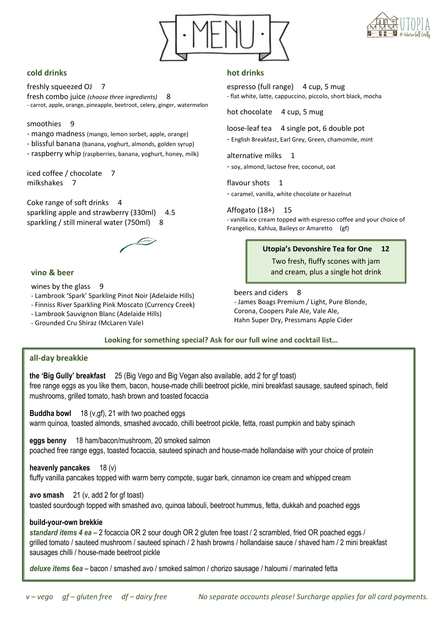



# **cold drinks**

freshly squeezed OJ 7 fresh combo juice *(choose three ingredients)* 8 - carrot, apple, orange, pineapple, beetroot, celery, ginger, watermelon

#### smoothies 9

- mango madness (mango, lemon sorbet, apple, orange)
- blissful banana (banana, yoghurt, almonds, golden syrup)
- raspberry whip (raspberries, banana, yoghurt, honey, milk)

iced coffee / chocolate 7 milkshakes 7

Coke range of soft drinks 4 sparkling apple and strawberry (330ml) 4.5 sparkling / still mineral water (750ml) 8

# **vino & beer**

# wines by the glass 9

- Lambrook 'Spark' Sparkling Pinot Noir (Adelaide Hills)
- Finniss River Sparkling Pink Moscato (Currency Creek)
- Lambrook Sauvignon Blanc (Adelaide Hills)
- Grounded Cru Shiraz (McLaren Vale)

# **hot drinks**

espresso (full range) 4 cup, 5 mug - flat white, latte, cappuccino, piccolo, short black, mocha

hot chocolate 4 cup, 5 mug

loose-leaf tea 4 single pot, 6 double pot

- English Breakfast, Earl Grey, Green, chamomile, mint

alternative milks 1 - soy, almond, lactose free, coconut, oat

flavour shots 1

- caramel, vanilla, white chocolate or hazelnut

### Affogato (18+) 15

- vanilla ice cream topped with espresso coffee and your choice of Frangelico, Kahlua, Baileys or Amaretto (gf)

### **Utopia's Devonshire Tea for One 12**

Two fresh, fluffy scones with jam and cream, plus a single hot drink

beers and ciders 8 - James Boags Premium / Light, Pure Blonde, Corona, Coopers Pale Ale, Vale Ale, Hahn Super Dry, Pressmans Apple Cider

**Looking for something special? Ask for our full wine and cocktail list…**

# **all-day breakkie**

**the 'Big Gully' breakfast** 25 (Big Vego and Big Vegan also available, add 2 for gf toast) free range eggs as you like them, bacon, house-made chilli beetroot pickle, mini breakfast sausage, sauteed spinach, field mushrooms, grilled tomato, hash brown and toasted focaccia

**Buddha bowl** 18 (v,gf), 21 with two poached eggs warm quinoa, toasted almonds, smashed avocado, chilli beetroot pickle, fetta, roast pumpkin and baby spinach

**eggs benny** 18 ham/bacon/mushroom, 20 smoked salmon poached free range eggs, toasted focaccia, sauteed spinach and house-made hollandaise with your choice of protein

**heavenly pancakes** 18 (v) fluffy vanilla pancakes topped with warm berry compote, sugar bark, cinnamon ice cream and whipped cream

**avo smash** 21 (v, add 2 for gf toast)

toasted sourdough topped with smashed avo, quinoa tabouli, beetroot hummus, fetta, dukkah and poached eggs

# **build-your-own brekkie**

*standard items 4 ea* – 2 focaccia OR 2 sour dough OR 2 gluten free toast / 2 scrambled, fried OR poached eggs / grilled tomato / sauteed mushroom / sauteed spinach / 2 hash browns / hollandaise sauce / shaved ham / 2 mini breakfast sausages chilli / house-made beetroot pickle

*deluxe items 6ea* – bacon / smashed avo / smoked salmon / chorizo sausage / haloumi / marinated fetta